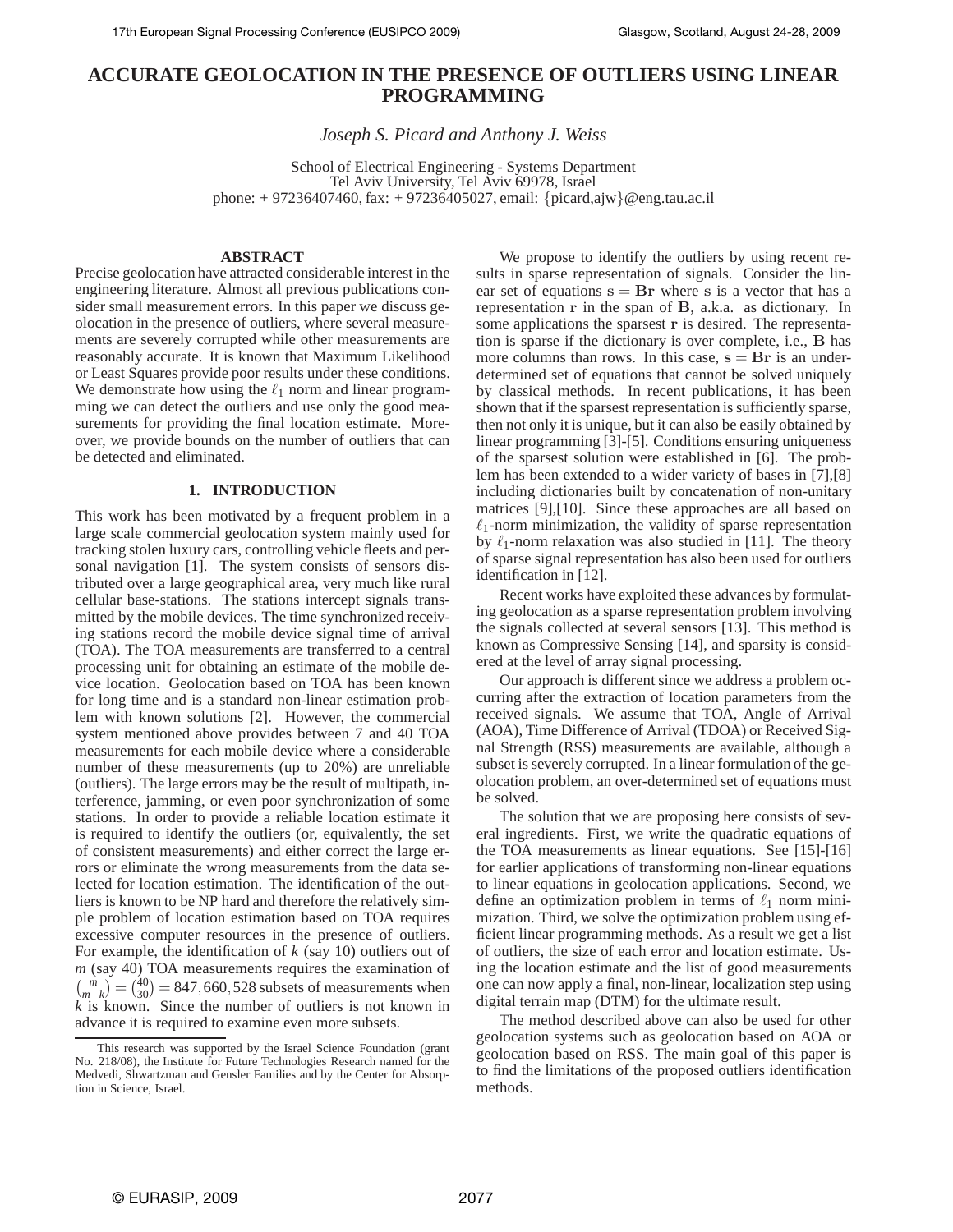# **ACCURATE GEOLOCATION IN THE PRESENCE OF OUTLIERS USING LINEAR PROGRAMMING**

*Joseph S. Picard and Anthony J. Weiss*

School of Electrical Engineering - Systems Department Tel Aviv University, Tel Aviv 69978, Israel phone: + 97236407460, fax: + 97236405027, email: {picard,ajw}@eng.tau.ac.il

### **ABSTRACT**

Precise geolocation have attracted considerable interest in the engineering literature. Almost all previous publications consider small measurement errors. In this paper we discuss geolocation in the presence of outliers, where several measurements are severely corrupted while other measurements are reasonably accurate. It is known that Maximum Likelihood or Least Squares provide poor results under these conditions. We demonstrate how using the  $\ell_1$  norm and linear programming we can detect the outliers and use only the good measurements for providing the final location estimate. Moreover, we provide bounds on the number of outliers that can be detected and eliminated.

### **1. INTRODUCTION**

This work has been motivated by a frequent problem in a large scale commercial geolocation system mainly used for tracking stolen luxury cars, controlling vehicle fleets and personal navigation [1]. The system consists of sensors distributed over a large geographical area, very much like rural cellular base-stations. The stations intercept signals transmitted by the mobile devices. The time synchronized receiving stations record the mobile device signal time of arrival (TOA). The TOA measurements are transferred to a central processing unit for obtaining an estimate of the mobile device location. Geolocation based on TOA has been known for long time and is a standard non-linear estimation problem with known solutions [2]. However, the commercial system mentioned above provides between 7 and 40 TOA measurements for each mobile device where a considerable number of these measurements (up to 20%) are unreliable (outliers). The large errors may be the result of multipath, interference, jamming, or even poor synchronization of some stations. In order to provide a reliable location estimate it is required to identify the outliers (or, equivalently, the set of consistent measurements) and either correct the large errors or eliminate the wrong measurements from the data selected for location estimation. The identification of the outliers is known to be NP hard and therefore the relatively simple problem of location estimation based on TOA requires excessive computer resources in the presence of outliers. For example, the identification of *k* (say 10) outliers out of *m* (say 40) TOA measurements requires the examination of  $\binom{m}{m-k} = \binom{40}{30} = 847,660,528$  subsets of measurements when *k* is known. Since the number of outliers is not known in advance it is required to examine even more subsets.

We propose to identify the outliers by using recent results in sparse representation of signals. Consider the linear set of equations  $s = Br$  where s is a vector that has a representation r in the span of B, a.k.a. as dictionary. In some applications the sparsest r is desired. The representation is sparse if the dictionary is over complete, i.e., B has more columns than rows. In this case,  $s = Br$  is an underdetermined set of equations that cannot be solved uniquely by classical methods. In recent publications, it has been shown that if the sparsest representation is sufficiently sparse, then not only it is unique, but it can also be easily obtained by linear programming [3]-[5]. Conditions ensuring uniqueness of the sparsest solution were established in [6]. The problem has been extended to a wider variety of bases in [7],[8] including dictionaries built by concatenation of non-unitary matrices [9],[10]. Since these approaches are all based on  $\ell_1$ -norm minimization, the validity of sparse representation by  $\ell_1$ -norm relaxation was also studied in [11]. The theory of sparse signal representation has also been used for outliers identification in [12].

Recent works have exploited these advances by formulating geolocation as a sparse representation problem involving the signals collected at several sensors [13]. This method is known as Compressive Sensing [14], and sparsity is considered at the level of array signal processing.

Our approach is different since we address a problem occurring after the extraction of location parameters from the received signals. We assume that TOA, Angle of Arrival (AOA), Time Difference of Arrival (TDOA) or Received Signal Strength (RSS) measurements are available, although a subset is severely corrupted. In a linear formulation of the geolocation problem, an over-determined set of equations must be solved.

The solution that we are proposing here consists of several ingredients. First, we write the quadratic equations of the TOA measurements as linear equations. See [15]-[16] for earlier applications of transforming non-linear equations to linear equations in geolocation applications. Second, we define an optimization problem in terms of  $\ell_1$  norm minimization. Third, we solve the optimization problem using efficient linear programming methods. As a result we get a list of outliers, the size of each error and location estimate. Using the location estimate and the list of good measurements one can now apply a final, non-linear, localization step using digital terrain map (DTM) for the ultimate result.

The method described above can also be used for other geolocation systems such as geolocation based on AOA or geolocation based on RSS. The main goal of this paper is to find the limitations of the proposed outliers identification methods.

This research was supported by the Israel Science Foundation (grant No. 218/08), the Institute for Future Technologies Research named for the Medvedi, Shwartzman and Gensler Families and by the Center for Absorption in Science, Israel.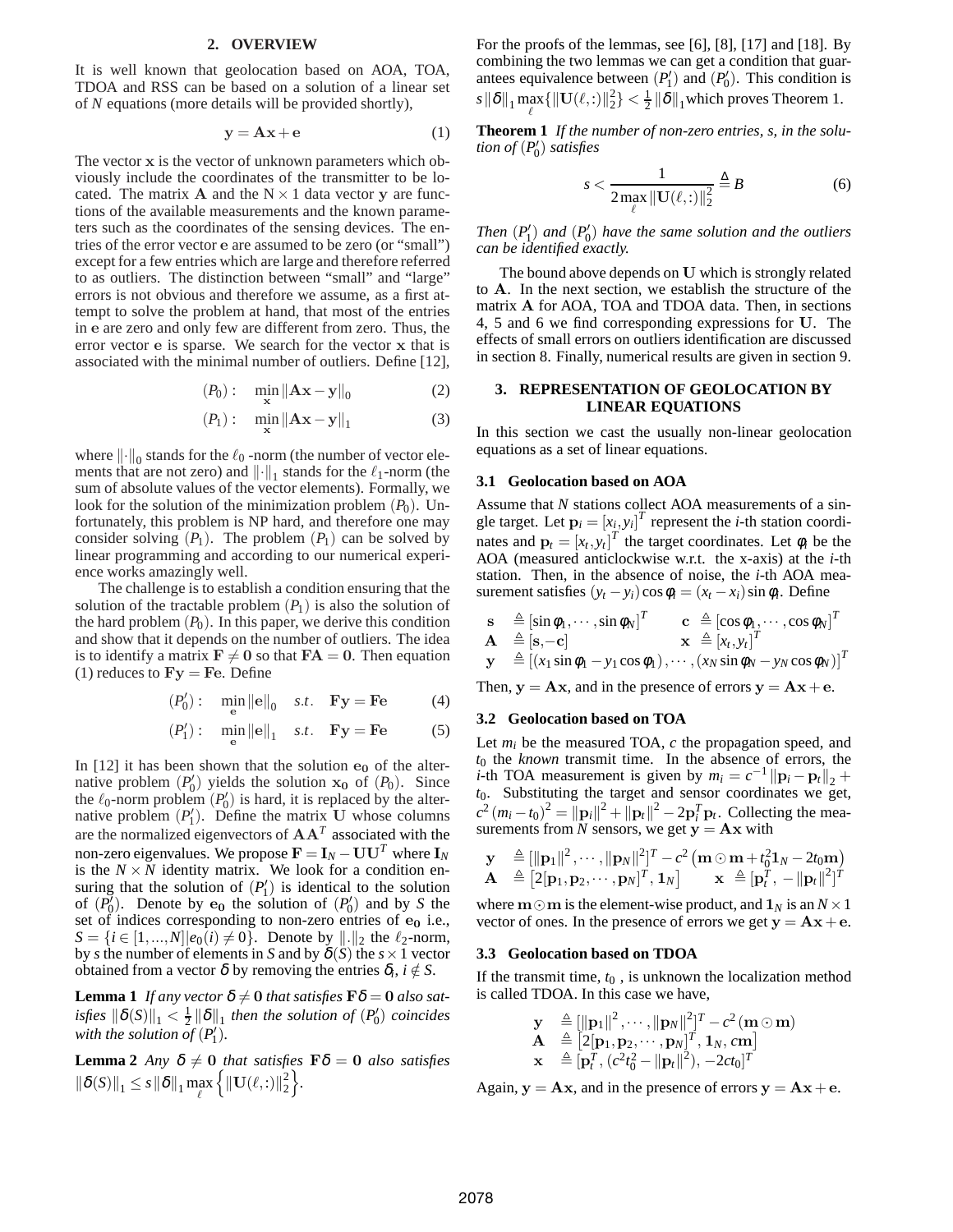#### **2. OVERVIEW**

It is well known that geolocation based on AOA, TOA, TDOA and RSS can be based on a solution of a linear set of *N* equations (more details will be provided shortly),

$$
y = Ax + e \tag{1}
$$

The vector x is the vector of unknown parameters which obviously include the coordinates of the transmitter to be located. The matrix **A** and the  $N \times 1$  data vector y are functions of the available measurements and the known parameters such as the coordinates of the sensing devices. The entries of the error vector e are assumed to be zero (or "small") except for a few entries which are large and therefore referred to as outliers. The distinction between "small" and "large" errors is not obvious and therefore we assume, as a first attempt to solve the problem at hand, that most of the entries in e are zero and only few are different from zero. Thus, the error vector e is sparse. We search for the vector x that is associated with the minimal number of outliers. Define [12],

$$
(P_0): \quad \min_{\mathbf{x}} \|\mathbf{A}\mathbf{x} - \mathbf{y}\|_0 \tag{2}
$$

$$
(P_1): \quad \min_{\mathbf{x}} \|\mathbf{A}\mathbf{x} - \mathbf{y}\|_1 \tag{3}
$$

where  $\|\cdot\|_0$  stands for the  $\ell_0$ -norm (the number of vector elements that are not zero) and  $\|\cdot\|_1$  stands for the  $\ell_1$ -norm (the sum of absolute values of the vector elements). Formally, we look for the solution of the minimization problem  $(P_0)$ . Unfortunately, this problem is NP hard, and therefore one may consider solving  $(P_1)$ . The problem  $(P_1)$  can be solved by linear programming and according to our numerical experience works amazingly well.

The challenge is to establish a condition ensuring that the solution of the tractable problem  $(P_1)$  is also the solution of the hard problem  $(P_0)$ . In this paper, we derive this condition and show that it depends on the number of outliers. The idea is to identify a matrix  $\mathbf{F} \neq \mathbf{0}$  so that  $\mathbf{FA} = \mathbf{0}$ . Then equation (1) reduces to  $\mathbf{Fy} = \mathbf{Fe}$ . Define

$$
(P'_0): \quad \min_{\mathbf{e}} \|\mathbf{e}\|_0 \quad s.t. \quad \mathbf{F}\mathbf{y} = \mathbf{F}\mathbf{e} \tag{4}
$$

$$
(P_1'):\quad \min_{\mathbf{e}} \|\mathbf{e}\|_1 \quad s.t. \quad \mathbf{F}\mathbf{y} = \mathbf{F}\mathbf{e} \tag{5}
$$

In [12] it has been shown that the solution  $e_0$  of the alternative problem  $(P'_0)$  yields the solution  $x_0$  of  $(P_0)$ . Since the  $\ell_0$ -norm problem  $(P'_0)$  is hard, it is replaced by the alternative problem  $(P_1')$ . Define the matrix U whose columns are the normalized eigenvectors of AA*<sup>T</sup>* associated with the non-zero eigenvalues. We propose  $\mathbf{F} = \mathbf{I}_N - \mathbf{U}\mathbf{U}^T$  where  $\mathbf{I}_N$ is the  $N \times N$  identity matrix. We look for a condition ensuring that the solution of  $(P'_1)$  is identical to the solution of  $(P'_0)$ . Denote by  $e_0$  the solution of  $(P'_0)$  and by *S* the set of indices corresponding to non-zero entries of  $e_0$  i.e.,  $S = \{i \in [1, ..., N] | e_0(i) \neq 0\}$ . Denote by  $\|.\|_2$  the  $\ell_2$ -norm, by *s* the number of elements in *S* and by  $\delta(S)$  the  $s \times 1$  vector obtained from a vector  $\delta$  by removing the entries  $\delta_i$ ,  $i \notin S$ .

**Lemma 1** *If any vector*  $\delta \neq 0$  *that satisfies*  $\mathbf{F}\delta = 0$  *also satisfies*  $\|\delta(S)\|_1 < \frac{1}{2} \|\delta\|_1$  then the solution of  $(P'_0)$  coincides with the solution of  $(P'_1)$ .

**Lemma 2** *Any*  $\delta \neq 0$  *that satisfies*  $\mathbf{F}\delta = 0$  *also satisfies*  $\left\|\delta(S)\right\|_1 \leq s \left\|\delta\right\|_1 \max_{\ell}$  $\Big\{\|\mathbf{U}(\ell,:)\|_2^2\Big\}.$ 

For the proofs of the lemmas, see [6], [8], [17] and [18]. By combining the two lemmas we can get a condition that guarantees equivalence between  $(P'_1)$  and  $(P'_0)$ . This condition is  $s \|\boldsymbol{\delta}\|_1 \max_{\ell} {\{\|\mathbf{U}(\ell,:)\|_2^2\}} < \frac{1}{2} \|\boldsymbol{\delta}\|_1$  which proves Theorem 1.

**Theorem 1** *If the number of non-zero entries, s, in the solution of* (*P* ′ 0 ) *satisfies*

$$
s < \frac{1}{2 \max_{\ell} \| \mathbf{U}(\ell, :) \|_{2}^{2}} \stackrel{\Delta}{=} B
$$
 (6)

*Then*  $(P'_1)$  *and*  $(P'_0)$  *have the same solution and the outliers can be identified exactly.*

The bound above depends on U which is strongly related to A. In the next section, we establish the structure of the matrix A for AOA, TOA and TDOA data. Then, in sections 4, 5 and 6 we find corresponding expressions for U. The effects of small errors on outliers identification are discussed in section 8. Finally, numerical results are given in section 9.

### **3. REPRESENTATION OF GEOLOCATION BY LINEAR EQUATIONS**

In this section we cast the usually non-linear geolocation equations as a set of linear equations.

#### **3.1 Geolocation based on AOA**

Assume that *N* stations collect AOA measurements of a single target. Let  $\mathbf{p}_i = [x_i, y_i]^T$  represent the *i*-th station coordinates and  $\mathbf{p}_t = [x_t, y_t]^T$  the target coordinates. Let  $\phi_i$  be the AOA (measured anticlockwise w.r.t. the x-axis) at the *i*-th station. Then, in the absence of noise, the *i*-th AOA measurement satisfies  $(y_t - y_i)\cos\phi_i = (x_t - x_i)\sin\phi_i$ . Define

$$
\begin{array}{ll}\n\mathbf{s} & \triangleq [\sin \phi_1, \cdots, \sin \phi_N]^T & \mathbf{c} & \triangleq [\cos \phi_1, \cdots, \cos \phi_N]^T \\
\mathbf{A} & \triangleq [\mathbf{s}, -\mathbf{c}] & \mathbf{x} & \triangleq [x_t, y_t]^T \\
\mathbf{y} & \triangleq [ (x_1 \sin \phi_1 - y_1 \cos \phi_1), \cdots, (x_N \sin \phi_N - y_N \cos \phi_N) ]^T\n\end{array}
$$

Then,  $y = Ax$ , and in the presence of errors  $y = Ax + e$ .

### **3.2 Geolocation based on TOA**

Let  $m_i$  be the measured TOA,  $c$  the propagation speed, and *t*<sup>0</sup> the *known* transmit time. In the absence of errors, the *i*-th TOA measurement is given by  $m_i = c^{-1} ||\mathbf{p}_i - \mathbf{p}_t||_2 + c^{-1} ||\mathbf{p}_i - \mathbf{p}_i||_2$ *t*0. Substituting the target and sensor coordinates we get,  $c^2 (m_i - t_0)^2 = ||\mathbf{p}_i||^2 + ||\mathbf{p}_t||^2 - 2\mathbf{p}_i^T \mathbf{p}_t$ . Collecting the measurements from *N* sensors, we get  $y = Ax$  with

$$
\begin{array}{ll}\n\mathbf{y} & \triangleq [ \|\mathbf{p}_1\|^2, \cdots, \|\mathbf{p}_N\|^2 ]^T - c^2 \left( \mathbf{m} \odot \mathbf{m} + t_0^2 \mathbf{1}_N - 2t_0 \mathbf{m} \right) \\
\mathbf{A} & \triangleq \left[ 2[\mathbf{p}_1, \mathbf{p}_2, \cdots, \mathbf{p}_N]^T, \mathbf{1}_N \right] \qquad \mathbf{x} \triangleq [\mathbf{p}_l^T, - \|\mathbf{p}_t\|^2]^T\n\end{array}
$$

where  $\mathbf{m} \odot \mathbf{m}$  is the element-wise product, and  $\mathbf{1}_N$  is an  $N \times 1$ vector of ones. In the presence of errors we get  $y = Ax + e$ .

#### **3.3 Geolocation based on TDOA**

If the transmit time,  $t_0$ , is unknown the localization method is called TDOA. In this case we have,

$$
\mathbf{y} \quad \stackrel{\Delta}{=} [||\mathbf{p}_1||^2, \cdots, ||\mathbf{p}_N||^2]^T - c^2 (\mathbf{m} \odot \mathbf{m}) \mathbf{A} \quad \stackrel{\Delta}{=} [2[\mathbf{p}_1, \mathbf{p}_2, \cdots, \mathbf{p}_N]^T, \mathbf{1}_N, c\mathbf{m}] \mathbf{x} \quad \stackrel{\Delta}{=} [\mathbf{p}_I^T, (c^2t_0^2 - ||\mathbf{p}_I||^2), -2ct_0]^T
$$

Again,  $y = Ax$ , and in the presence of errors  $y = Ax + e$ .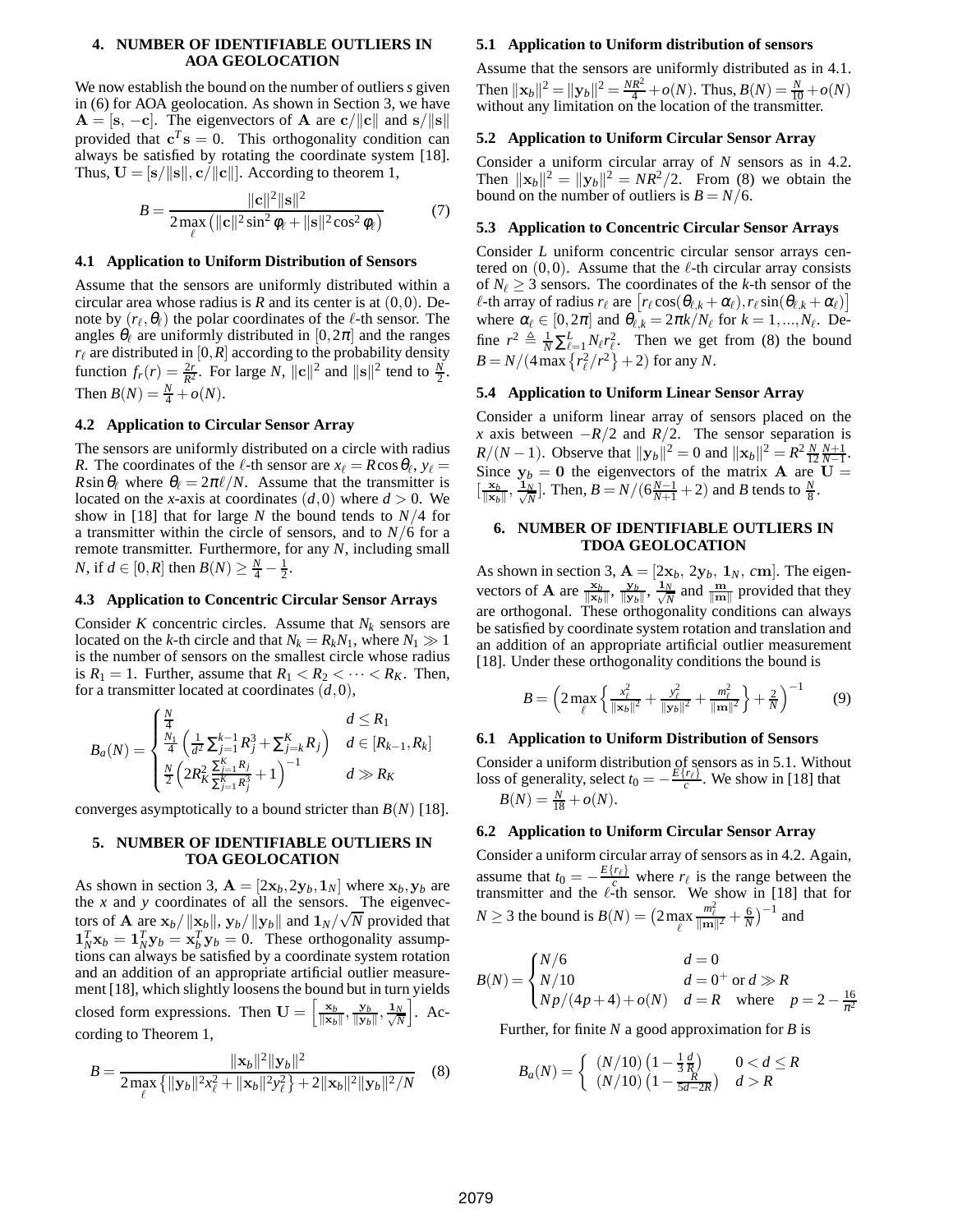### **4. NUMBER OF IDENTIFIABLE OUTLIERS IN AOA GEOLOCATION**

We now establish the bound on the number of outliers*s* given in (6) for AOA geolocation. As shown in Section 3, we have  $A = [s, -c]$ . The eigenvectors of A are  $c/||c||$  and  $s/||s||$ provided that  $c^T s = 0$ . This orthogonality condition can always be satisfied by rotating the coordinate system [18]. Thus,  $U = [s/\Vert s \Vert, c/\Vert c \Vert]$ . According to theorem 1,

$$
B = \frac{\|\mathbf{c}\|^2 \|\mathbf{s}\|^2}{2 \max_{\ell} \left( \|\mathbf{c}\|^2 \sin^2 \phi_\ell + \|\mathbf{s}\|^2 \cos^2 \phi_\ell \right)}
$$
(7)

#### **4.1 Application to Uniform Distribution of Sensors**

Assume that the sensors are uniformly distributed within a circular area whose radius is *R* and its center is at (0,0). Denote by  $(r_\ell, \theta_\ell)$  the polar coordinates of the  $\ell$ -th sensor. The angles  $\theta_{\ell}$  are uniformly distributed in [0,2 $\pi$ ] and the ranges *r*<sub>ℓ</sub> are distributed in [0,*R*] according to the probability density function  $f_r(r) = \frac{2r}{R^2}$ . For large *N*,  $||c||^2$  and  $||s||^2$  tend to  $\frac{N}{2}$ . Then  $B(N) = \frac{N}{4} + o(N)$ .

### **4.2 Application to Circular Sensor Array**

The sensors are uniformly distributed on a circle with radius *R*. The coordinates of the  $\ell$ -th sensor are  $x_{\ell} = R \cos \theta_{\ell}, y_{\ell} = R \cos \theta_{\ell}$ *R*sin  $\theta_{\ell}$  where  $\theta_{\ell} = 2\pi \ell/N$ . Assume that the transmitter is located on the *x*-axis at coordinates  $(d,0)$  where  $d > 0$ . We show in [18] that for large *N* the bound tends to *N*/4 for a transmitter within the circle of sensors, and to *N*/6 for a remote transmitter. Furthermore, for any *N*, including small *N*, if  $d \in [0, R]$  then  $B(N) \ge \frac{N}{4} - \frac{1}{2}$ .

### **4.3 Application to Concentric Circular Sensor Arrays**

Consider *K* concentric circles. Assume that  $N_k$  sensors are located on the *k*-th circle and that  $N_k = R_k N_1$ , where  $N_1 \gg 1$ is the number of sensors on the smallest circle whose radius is  $R_1 = 1$ . Further, assume that  $R_1 < R_2 < \cdots < R_K$ . Then, for a transmitter located at coordinates (*d*,0),

$$
B_a(N) = \begin{cases} \frac{N}{4} & d \le R_1\\ \frac{N_1}{4} \left( \frac{1}{d^2} \sum_{j=1}^{k-1} R_j^3 + \sum_{j=k}^K R_j \right) & d \in [R_{k-1}, R_k] \\ \frac{N}{2} \left( 2R_K^2 \frac{\sum_{j=1}^K R_j}{\sum_{j=1}^K R_j^3} + 1 \right)^{-1} & d \gg R_K \end{cases}
$$

converges asymptotically to a bound stricter than *B*(*N*) [18].

#### **5. NUMBER OF IDENTIFIABLE OUTLIERS IN TOA GEOLOCATION**

As shown in section 3,  $\mathbf{A} = [2\mathbf{x}_b, 2\mathbf{y}_b, \mathbf{1}_N]$  where  $\mathbf{x}_b, \mathbf{y}_b$  are the *x* and *y* coordinates of all the sensors. The eigenvectors of **A** are  $x_b / ||x_p||$ ,  $y_b / ||y_b||$  and  $1_N / \sqrt{N}$  provided that  $\mathbf{1}_N^T \mathbf{x}_b = \mathbf{1}_N^T \mathbf{y}_b = \mathbf{x}_b^T \mathbf{y}_b = 0$ . These orthogonality assumptions can always be satisfied by a coordinate system rotation and an addition of an appropriate artificial outlier measurement [18], which slightly loosens the bound but in turn yields closed form expressions. Then  $\mathbf{U} = \begin{bmatrix} \frac{\mathbf{x}_b}{\|\mathbf{x}_c\|} \end{bmatrix}$  $\frac{\mathbf{x}_b}{\|\mathbf{x}_b\|}, \frac{\mathbf{y}_b}{\|\mathbf{y}_b}$  $\frac{\mathbf{y}_b}{\|\mathbf{y}_b\|}, \frac{\mathbf{1}_N}{\sqrt{\Lambda}}$  $\frac{N}{N}$ . According to Theorem 1,

$$
B = \frac{\|\mathbf{x}_b\|^2 \|\mathbf{y}_b\|^2}{2 \max_{\ell} \{ \|\mathbf{y}_b\|^2 x_{\ell}^2 + \|\mathbf{x}_b\|^2 y_{\ell}^2 \} + 2 \|\mathbf{x}_b\|^2 \|\mathbf{y}_b\|^2 / N}
$$
(8)

## **5.1 Application to Uniform distribution of sensors**

Assume that the sensors are uniformly distributed as in 4.1. Then  $||\mathbf{x}_b||^2 = ||\mathbf{y}_b||^2 = \frac{NR^2}{4} + o(N)$ . Thus,  $B(N) = \frac{N}{10} + o(N)$  without any limitation on the location of the transmitter.

#### **5.2 Application to Uniform Circular Sensor Array**

Consider a uniform circular array of *N* sensors as in 4.2. Then  $||\mathbf{x}_b||^2 = ||\mathbf{y}_b||^2 = NR^2/2$ . From (8) we obtain the bound on the number of outliers is  $B = N/6$ .

### **5.3 Application to Concentric Circular Sensor Arrays**

Consider *L* uniform concentric circular sensor arrays centered on  $(0,0)$ . Assume that the  $\ell$ -th circular array consists of  $N_\ell \geq 3$  sensors. The coordinates of the *k*-th sensor of the  $\ell$ -th array of radius  $r_\ell$  are  $\bigl[r_\ell\cos(\theta_{\ell,k}+\alpha_\ell),r_\ell\sin(\theta_{\ell,k}+\alpha_\ell)\bigr]$ where  $\alpha_{\ell} \in [0, 2\pi]$  and  $\theta_{\ell,k} = 2\pi k / N_{\ell}$  for  $k = 1, ..., N_{\ell}$ . Define  $r^2 \triangleq \frac{1}{N} \sum_{\ell=1}^L N_\ell r_\ell^2$ . Then we get from (8) the bound  $B = N/(4 \max \{r_{\ell}^2/r^2\} + 2)$  for any *N*.

### **5.4 Application to Uniform Linear Sensor Array**

Consider a uniform linear array of sensors placed on the *x* axis between  $-R/2$  and  $R/2$ . The sensor separation is  $R/(N-1)$ . Observe that  $||\mathbf{y}_b||^2 = 0$  and  $||\mathbf{x}_b||^2 = R^2 \frac{N}{12} \frac{N+1}{N-1}$ .  $N/(N-1)$ . Observe that  $||y_b|| = 0$  and  $||x_b|| = K \frac{1}{12} \frac{N-1}{N-1}$ .<br>Since  $y_b = 0$  the eigenvectors of the matrix **A** are **U** =  $\left[\frac{\mathbf{x}_b}{\|\mathbf{x}\|} \right]$  $\frac{\mathbf{x}_b}{\|\mathbf{x}_b\|}, \frac{\mathbf{1}_N}{\sqrt{\Lambda}}$  $\frac{N}{N}$ . Then,  $B = N/(6\frac{N-1}{N+1} + 2)$  and *B* tends to  $\frac{N}{8}$ .

### **6. NUMBER OF IDENTIFIABLE OUTLIERS IN TDOA GEOLOCATION**

As shown in section 3,  $\mathbf{A} = [2\mathbf{x}_b, 2\mathbf{y}_b, 1_N, c\mathbf{m}]$ . The eigenvectors of **A** are  $\frac{x_b}{x_b}$  $\frac{\mathbf{x}_b}{\|\mathbf{x}_b\|}, \frac{\mathbf{y}_b}{\|\mathbf{y}_b\|}$  $\frac{\mathbf{y}_b}{\|\mathbf{y}_b\|}, \frac{\mathbf{1}_N}{\sqrt{\Lambda}}$  $\frac{N}{N}$  and  $\frac{m}{\|m\|}$  provided that they are orthogonal. These orthogonality conditions can always be satisfied by coordinate system rotation and translation and an addition of an appropriate artificial outlier measurement [18]. Under these orthogonality conditions the bound is

$$
B = \left(2 \max_{\ell} \left\{ \frac{x_{\ell}^2}{\|\mathbf{x}_b\|^2} + \frac{y_{\ell}^2}{\|\mathbf{y}_b\|^2} + \frac{m_{\ell}^2}{\|\mathbf{m}\|^2} \right\} + \frac{2}{N} \right)^{-1} \tag{9}
$$

#### **6.1 Application to Uniform Distribution of Sensors**

Consider a uniform distribution of sensors as in 5.1. Without loss of generality, select  $t_0 = -\frac{E\{r_\ell\}}{c}$ . We show in [18] that  $B(N) = \frac{N}{18} + o(N).$ 

# **6.2 Application to Uniform Circular Sensor Array**

Consider a uniform circular array of sensors as in 4.2. Again, assume that  $t_0 = -\frac{E\{r_\ell\}}{c}$  where  $r_\ell$  is the range between the transmitter and the  $\ell$ -th sensor. We show in [18] that for  $N \ge 3$  the bound is  $B(N) = \left(2 \max_{\ell}$  $\frac{m_{\ell}^2}{\|\mathbf{m}\|^2} + \frac{6}{N}\right)^{-1}$  and

$$
B(N) = \begin{cases} N/6 & d = 0 \\ N/10 & d = 0^+ \text{ or } d \gg R \\ Np/(4p+4) + o(N) & d = R \text{ where } p = 2 - \frac{16}{\pi^2} \end{cases}
$$

Further, for finite *N* a good approximation for *B* is

$$
B_a(N) = \begin{cases} (N/10) \left(1 - \frac{1}{3} \frac{d}{R}\right) & 0 < d \le R \\ (N/10) \left(1 - \frac{R}{5d - 2R}\right) & d > R \end{cases}
$$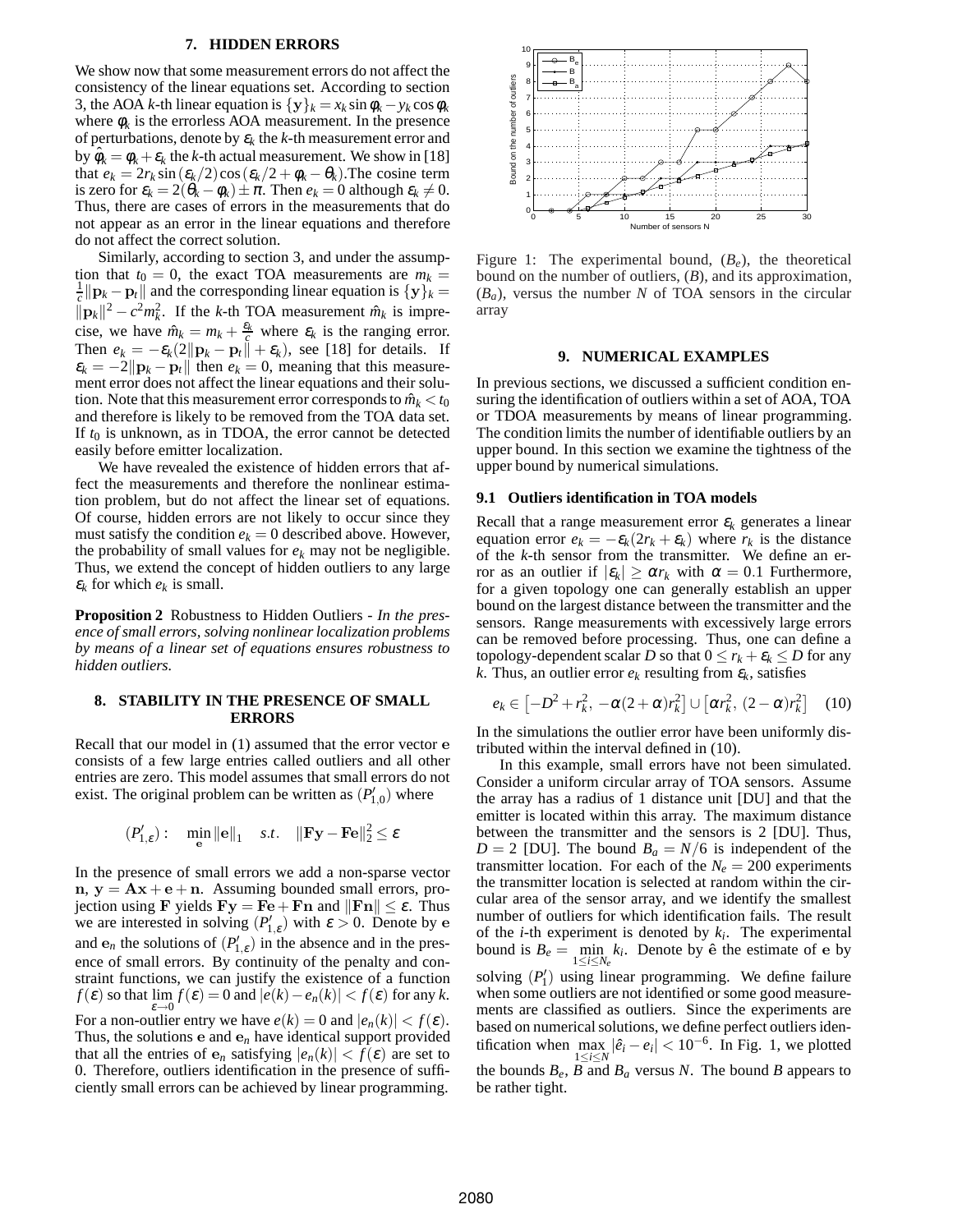#### **7. HIDDEN ERRORS**

We show now that some measurement errors do not affect the consistency of the linear equations set. According to section 3, the AOA *k*-th linear equation is  $\{y\}_k = x_k \sin \phi_k - y_k \cos \phi_k$ where  $\phi_k$  is the errorless AOA measurement. In the presence of perturbations, denote by  $\varepsilon_k$  the  $k$ -th measurement error and by  $\hat{\phi}_k = \phi_k + \varepsilon_k$  the *k*-th actual measurement. We show in [18] that  $e_k = 2r_k \sin(\frac{\varepsilon_k}{2}) \cos(\frac{\varepsilon_k}{2} + \phi_k - \theta_k)$ . The cosine term is zero for  $\varepsilon_k = 2(\theta_k - \phi_k) \pm \pi$ . Then  $e_k = 0$  although  $\varepsilon_k \neq 0$ . Thus, there are cases of errors in the measurements that do not appear as an error in the linear equations and therefore do not affect the correct solution.

Similarly, according to section 3, and under the assumption that  $t_0 = 0$ , the exact TOA measurements are  $m_k =$  $\frac{1}{c} \|\mathbf{p}_k - \mathbf{p}_t\|$  and the corresponding linear equation is  $\{\mathbf{y}\}_k =$  $||\mathbf{p}_k||^2 - c^2 m_k^2$ . If the *k*-th TOA measurement  $\hat{m}_k$  is imprecise, we have  $\hat{m}_k = m_k + \frac{\varepsilon_k}{c}$  where  $\varepsilon_k$  is the ranging error. Then  $e_k = -\varepsilon_k(2||\mathbf{p}_k - \mathbf{p}_t|| + \varepsilon_k)$ , see [18] for details. If  $\varepsilon_k = -2\|\mathbf{p}_k - \mathbf{p}_t\|$  then  $e_k = 0$ , meaning that this measurement error does not affect the linear equations and their solution. Note that this measurement error corresponds to  $\hat{m}_k < t_0$ and therefore is likely to be removed from the TOA data set. If  $t_0$  is unknown, as in TDOA, the error cannot be detected easily before emitter localization.

We have revealed the existence of hidden errors that affect the measurements and therefore the nonlinear estimation problem, but do not affect the linear set of equations. Of course, hidden errors are not likely to occur since they must satisfy the condition  $e_k = 0$  described above. However, the probability of small values for  $e_k$  may not be negligible. Thus, we extend the concept of hidden outliers to any large  $\varepsilon_k$  for which  $e_k$  is small.

**Proposition 2** Robustness to Hidden Outliers *- In the presence of small errors, solving nonlinear localization problems by means of a linear set of equations ensures robustness to hidden outliers.*

### **8. STABILITY IN THE PRESENCE OF SMALL ERRORS**

Recall that our model in (1) assumed that the error vector e consists of a few large entries called outliers and all other entries are zero. This model assumes that small errors do not exist. The original problem can be written as  $(P'_{1,0})$  where

$$
(P'_{1,\varepsilon}): \quad \min_{\mathbf{e}} \|\mathbf{e}\|_1 \quad s.t. \quad \|\mathbf{F}\mathbf{y} - \mathbf{F}\mathbf{e}\|_2^2 \le \varepsilon
$$

In the presence of small errors we add a non-sparse vector  $n, y = Ax + e + n$ . Assuming bounded small errors, projection using **F** yields  $\mathbf{Fy} = \mathbf{Fe} + \mathbf{Fn}$  and  $\|\mathbf{Fn}\| \leq \varepsilon$ . Thus we are interested in solving  $(P'_{1,\varepsilon})$  with  $\varepsilon > 0$ . Denote by e and  $e_n$  the solutions of  $(P'_{1,\varepsilon})$  in the absence and in the presence of small errors. By continuity of the penalty and constraint functions, we can justify the existence of a function  $f(\varepsilon)$  so that  $\lim_{\varepsilon}$  $\lim_{\epsilon \to 0} f(\epsilon) = 0$  and  $|e(k) - e_n(k)| < f(\epsilon)$  for any *k*. For a non-outlier entry we have  $e(k) = 0$  and  $|e_n(k)| < f(\varepsilon)$ .

Thus, the solutions  $e$  and  $e_n$  have identical support provided that all the entries of  $e_n$  satisfying  $|e_n(k)| < f(\varepsilon)$  are set to 0. Therefore, outliers identification in the presence of sufficiently small errors can be achieved by linear programming.



Figure 1: The experimental bound, (*Be*), the theoretical bound on the number of outliers, (*B*), and its approximation, (*Ba*), versus the number *N* of TOA sensors in the circular array

### **9. NUMERICAL EXAMPLES**

In previous sections, we discussed a sufficient condition ensuring the identification of outliers within a set of AOA, TOA or TDOA measurements by means of linear programming. The condition limits the number of identifiable outliers by an upper bound. In this section we examine the tightness of the upper bound by numerical simulations.

#### **9.1 Outliers identification in TOA models**

Recall that a range measurement error  $\varepsilon_k$  generates a linear equation error  $e_k = -\varepsilon_k(2r_k + \varepsilon_k)$  where  $r_k$  is the distance of the *k*-th sensor from the transmitter. We define an error as an outlier if  $|\varepsilon_k| \geq \alpha r_k$  with  $\alpha = 0.1$  Furthermore, for a given topology one can generally establish an upper bound on the largest distance between the transmitter and the sensors. Range measurements with excessively large errors can be removed before processing. Thus, one can define a topology-dependent scalar *D* so that  $0 \le r_k + \varepsilon_k \le D$  for any *k*. Thus, an outlier error  $e_k$  resulting from  $\varepsilon_k$ , satisfies

$$
e_k \in \left[-D^2 + r_k^2, -\alpha(2+\alpha)r_k^2\right] \cup \left[\alpha r_k^2, (2-\alpha)r_k^2\right] \quad (10)
$$

In the simulations the outlier error have been uniformly distributed within the interval defined in (10).

In this example, small errors have not been simulated. Consider a uniform circular array of TOA sensors. Assume the array has a radius of 1 distance unit [DU] and that the emitter is located within this array. The maximum distance between the transmitter and the sensors is 2 [DU]. Thus,  $D = 2$  [DU]. The bound  $B_a = N/6$  is independent of the transmitter location. For each of the  $N_e = 200$  experiments the transmitter location is selected at random within the circular area of the sensor array, and we identify the smallest number of outliers for which identification fails. The result of the *i*-th experiment is denoted by *k<sup>i</sup>* . The experimental bound is  $B_e = \min_{1 \le i \le N_e} k_i$ . Denote by  $\hat{e}$  the estimate of  $e$  by solving  $(P'_1)$  using linear programming. We define failure when some outliers are not identified or some good measurements are classified as outliers. Since the experiments are based on numerical solutions, we define perfect outliers identification when max  $\max_{1 \le i \le N} |\hat{e}_i - e_i| < 10^{-6}$ . In Fig. 1, we plotted the bounds  $B_e$ ,  $\overline{B}$  and  $B_a$  versus *N*. The bound *B* appears to be rather tight.